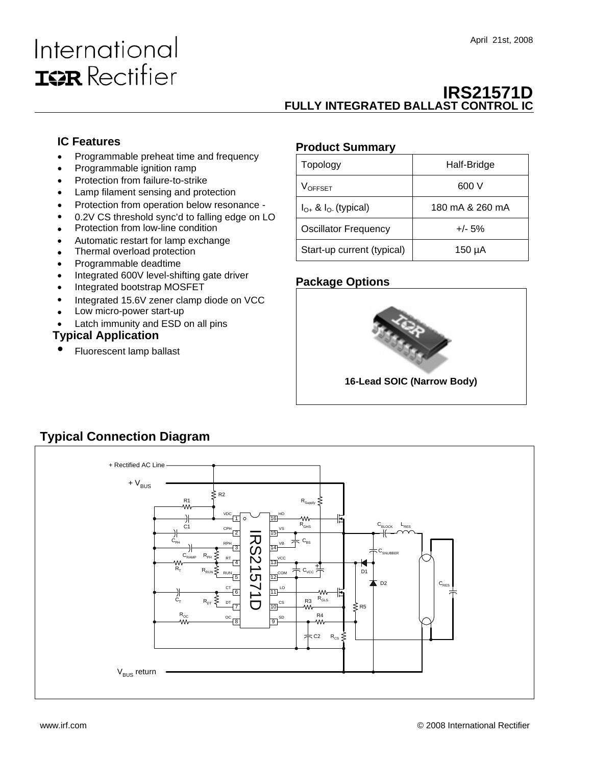# International **ISR** Rectifier

### **IRS21571D FULLY INTEGRATED BALLAST CONTROL IC**

#### **IC Features**

- Programmable preheat time and frequency
- Programmable ignition ramp
- Protection from failure-to-strike
- Lamp filament sensing and protection
- Protection from operation below resonance -
- 0.2V CS threshold sync'd to falling edge on LO
- Protection from low-line condition
- Automatic restart for lamp exchange
- Thermal overload protection
- Programmable deadtime
- Integrated 600V level-shifting gate driver
- Integrated bootstrap MOSFET
- Integrated 15.6V zener clamp diode on VCC
- Low micro-power start-up
- Latch immunity and ESD on all pins

#### **Typical Application**

• Fluorescent lamp ballast

#### **Product Summary**

| Topology                      | Half-Bridge     |
|-------------------------------|-----------------|
| <b>VOFFSET</b>                | 600 V           |
| $I_{O+}$ & $I_{O-}$ (typical) | 180 mA & 260 mA |
| <b>Oscillator Frequency</b>   | $+/- 5%$        |
| Start-up current (typical)    | 150 µA          |

#### **Package Options**



### **Typical Connection Diagram**

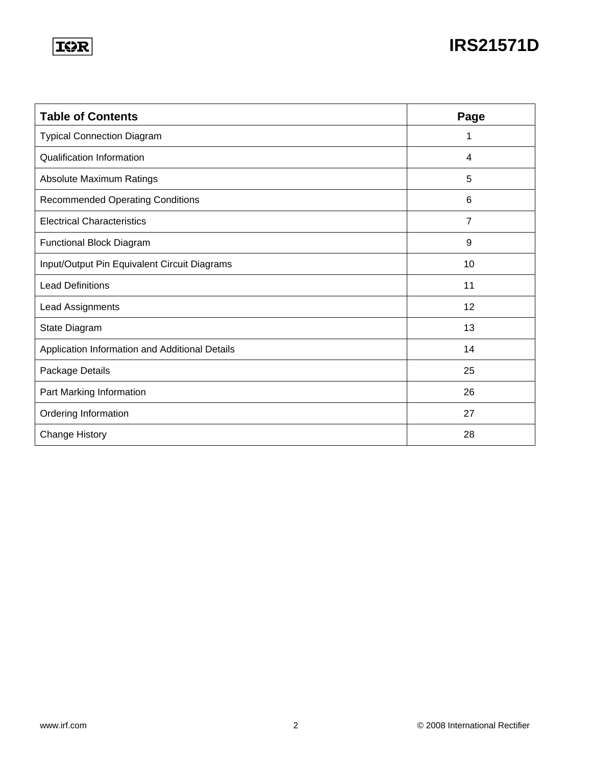### **IOR**

## **IRS21571D**

| <b>Table of Contents</b>                       | Page |
|------------------------------------------------|------|
| <b>Typical Connection Diagram</b>              | 1    |
| <b>Qualification Information</b>               | 4    |
| Absolute Maximum Ratings                       | 5    |
| <b>Recommended Operating Conditions</b>        | 6    |
| <b>Electrical Characteristics</b>              | 7    |
| <b>Functional Block Diagram</b>                | 9    |
| Input/Output Pin Equivalent Circuit Diagrams   | 10   |
| <b>Lead Definitions</b>                        | 11   |
| Lead Assignments                               | 12   |
| State Diagram                                  | 13   |
| Application Information and Additional Details | 14   |
| Package Details                                | 25   |
| Part Marking Information                       | 26   |
| Ordering Information                           | 27   |
| <b>Change History</b>                          | 28   |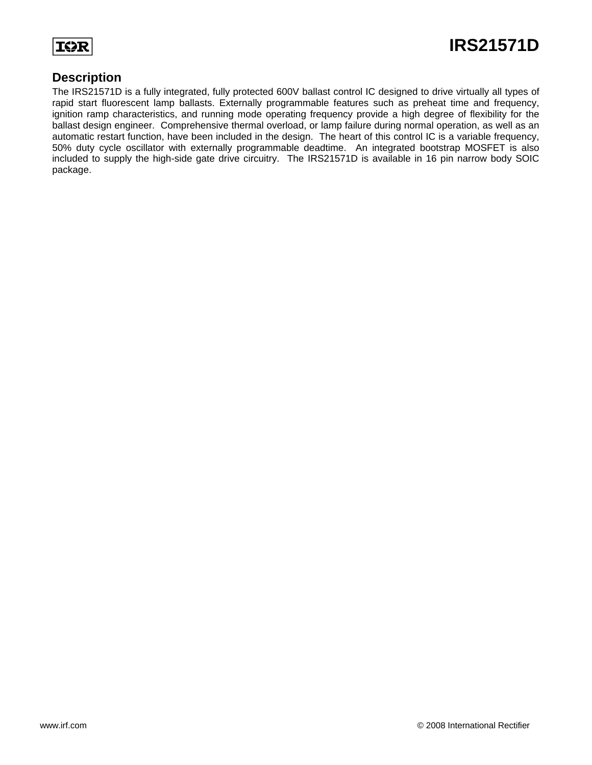**T<>F** 

#### **Description**

The IRS21571D is a fully integrated, fully protected 600V ballast control IC designed to drive virtually all types of rapid start fluorescent lamp ballasts. Externally programmable features such as preheat time and frequency, ignition ramp characteristics, and running mode operating frequency provide a high degree of flexibility for the ballast design engineer. Comprehensive thermal overload, or lamp failure during normal operation, as well as an automatic restart function, have been included in the design. The heart of this control IC is a variable frequency, 50% duty cycle oscillator with externally programmable deadtime. An integrated bootstrap MOSFET is also included to supply the high-side gate drive circuitry. The IRS21571D is available in 16 pin narrow body SOIC package.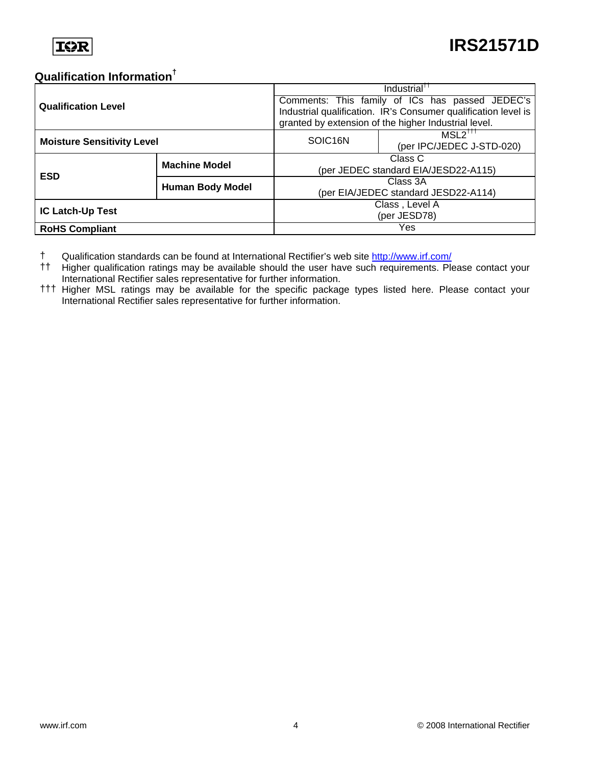#### **Qualification Information†**

| <b>Qualification Level</b>        |                         | Industrial <sup>TT</sup>                                       |                                                      |  |  |
|-----------------------------------|-------------------------|----------------------------------------------------------------|------------------------------------------------------|--|--|
|                                   |                         | Comments: This family of ICs has passed JEDEC's                |                                                      |  |  |
|                                   |                         | Industrial qualification. IR's Consumer qualification level is |                                                      |  |  |
|                                   |                         |                                                                | granted by extension of the higher Industrial level. |  |  |
|                                   |                         | SOIC <sub>16N</sub>                                            | $MSL2$ <sup>TTT</sup>                                |  |  |
| <b>Moisture Sensitivity Level</b> |                         |                                                                | (per IPC/JEDEC J-STD-020)                            |  |  |
|                                   | <b>Machine Model</b>    | Class C                                                        |                                                      |  |  |
| <b>ESD</b>                        |                         | (per JEDEC standard EIA/JESD22-A115)                           |                                                      |  |  |
|                                   | <b>Human Body Model</b> | Class 3A                                                       |                                                      |  |  |
|                                   |                         | (per EIA/JEDEC standard JESD22-A114)                           |                                                      |  |  |
| <b>IC Latch-Up Test</b>           |                         | Class, Level A                                                 |                                                      |  |  |
|                                   |                         | (per JESD78)                                                   |                                                      |  |  |
| <b>RoHS Compliant</b>             |                         |                                                                | Yes                                                  |  |  |

† Qualification standards can be found at International Rectifier's web site <http://www.irf.com/>

- †† Higher qualification ratings may be available should the user have such requirements. Please contact your International Rectifier sales representative for further information.
- ††† Higher MSL ratings may be available for the specific package types listed here. Please contact your International Rectifier sales representative for further information.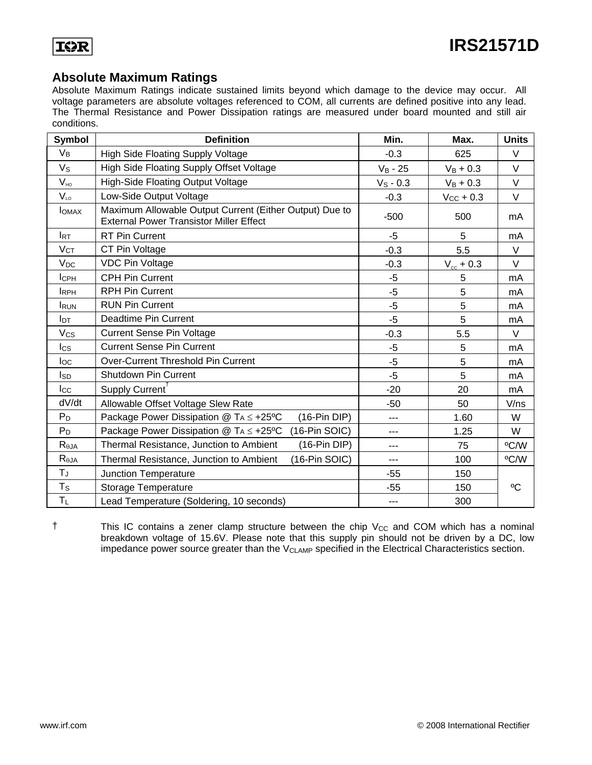

#### **Absolute Maximum Ratings**

Absolute Maximum Ratings indicate sustained limits beyond which damage to the device may occur. All voltage parameters are absolute voltages referenced to COM, all currents are defined positive into any lead. The Thermal Resistance and Power Dissipation ratings are measured under board mounted and still air conditions.

| <b>Symbol</b>         | <b>Definition</b>                                                                                         | Min.        | Max.                  | <b>Units</b> |
|-----------------------|-----------------------------------------------------------------------------------------------------------|-------------|-----------------------|--------------|
| $V_B$                 | High Side Floating Supply Voltage                                                                         | $-0.3$      | 625                   | V            |
| $V_{\rm S}$           | High Side Floating Supply Offset Voltage                                                                  | $V_B - 25$  | $V_B + 0.3$           | V            |
| $V_{HO}$              | <b>High-Side Floating Output Voltage</b>                                                                  | $V_S - 0.3$ | $V_B + 0.3$           | $\vee$       |
| $V_{LO}$              | Low-Side Output Voltage                                                                                   | $-0.3$      | $V_{\text{CC}}$ + 0.3 | V            |
| <b>I</b> OMAX         | Maximum Allowable Output Current (Either Output) Due to<br><b>External Power Transistor Miller Effect</b> | $-500$      | 500                   | mA           |
| <b>I</b> RT           | <b>RT Pin Current</b>                                                                                     | -5          | 5                     | mA           |
| $V_{CT}$              | CT Pin Voltage                                                                                            | $-0.3$      | 5.5                   | $\vee$       |
| <b>V<sub>DC</sub></b> | <b>VDC Pin Voltage</b>                                                                                    | $-0.3$      | $V_{\rm cc}$ + 0.3    | V            |
| ICPH                  | <b>CPH Pin Current</b>                                                                                    | -5          | 5                     | mA           |
| <b>IRPH</b>           | <b>RPH Pin Current</b>                                                                                    | $-5$        | 5                     | mA           |
| <b>I</b> RUN          | <b>RUN Pin Current</b>                                                                                    | $-5$        | 5                     | mA           |
| I <sub>DT</sub>       | Deadtime Pin Current                                                                                      | $-5$        | 5                     | mA           |
| $V_{CS}$              | <b>Current Sense Pin Voltage</b>                                                                          | $-0.3$      | 5.5                   | $\vee$       |
| $_{\text{lcs}}$       | <b>Current Sense Pin Current</b>                                                                          | $-5$        | 5                     | mA           |
| $I_{\rm OC}$          | Over-Current Threshold Pin Current                                                                        | $-5$        | 5                     | mA           |
| Isp                   | <b>Shutdown Pin Current</b>                                                                               | $-5$        | 5                     | mA           |
| $_{\rm lcc}$          | Supply Current                                                                                            | $-20$       | 20                    | mA           |
| dV/dt                 | Allowable Offset Voltage Slew Rate                                                                        | $-50$       | 50                    | V/ns         |
| $P_D$                 | Package Power Dissipation $@TA \leq +25°C$<br>$(16-Pin DIP)$                                              | ---         | 1.60                  | W            |
| $P_D$                 | Package Power Dissipation $@TA \leq +25°C$<br>(16-Pin SOIC)                                               | ---         | 1.25                  | W            |
| $R_{\theta JA}$       | Thermal Resistance, Junction to Ambient<br>$(16-Pin DIP)$                                                 | $---$       | 75                    | °C/W         |
| $R_{\theta$ JA        | Thermal Resistance, Junction to Ambient<br>(16-Pin SOIC)                                                  | ---         | 100                   | °C/W         |
| $T_{J}$               | <b>Junction Temperature</b>                                                                               | $-55$       | 150                   |              |
| $T_S$                 | <b>Storage Temperature</b>                                                                                | $-55$       | 150                   | $^{\circ}C$  |
| $T_L$                 | Lead Temperature (Soldering, 10 seconds)                                                                  | $---$       | 300                   |              |

 $\dagger$  This IC contains a zener clamp structure between the chip  $V_{CC}$  and COM which has a nominal breakdown voltage of 15.6V. Please note that this supply pin should not be driven by a DC, low impedance power source greater than the  $V_{CLAMP}$  specified in the Electrical Characteristics section.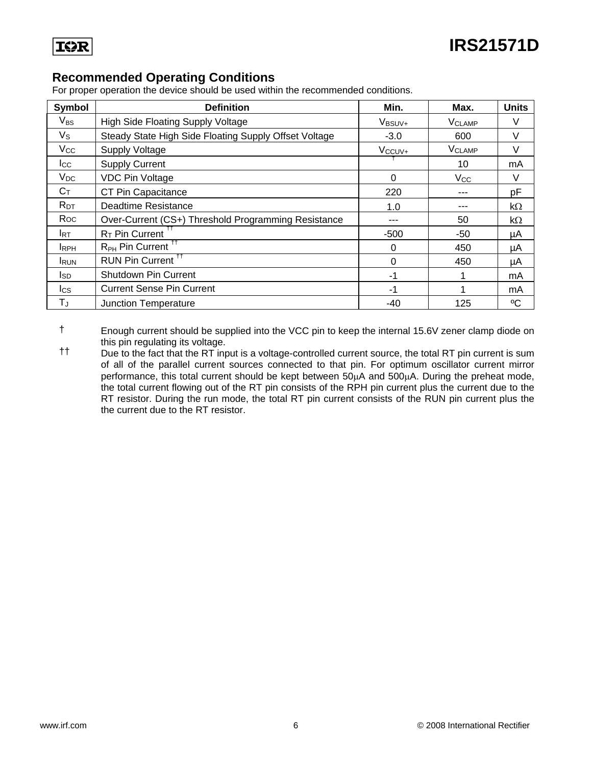

#### **Recommended Operating Conditions**

For proper operation the device should be used within the recommended conditions.

| Symbol       | <b>Definition</b>                                     | Min.               | Max.                     | <b>Units</b> |
|--------------|-------------------------------------------------------|--------------------|--------------------------|--------------|
| $V_{BS}$     | High Side Floating Supply Voltage                     | V <sub>BSUV+</sub> | <b>V<sub>CLAMP</sub></b> | $\vee$       |
| $V_{\rm S}$  | Steady State High Side Floating Supply Offset Voltage | $-3.0$             | 600                      | V            |
| $V_{\rm CC}$ | <b>Supply Voltage</b>                                 | V <sub>ccuv+</sub> | <b>V<sub>CLAMP</sub></b> | $\vee$       |
| $_{\rm lcc}$ | <b>Supply Current</b>                                 |                    | 10                       | mA           |
| $V_{DC}$     | <b>VDC Pin Voltage</b>                                | 0                  | Vcc                      | V            |
| $C_T$        | CT Pin Capacitance                                    | 220                |                          | pF           |
| $R_{DT}$     | Deadtime Resistance                                   | 1.0                |                          | $k\Omega$    |
| Roc          | Over-Current (CS+) Threshold Programming Resistance   |                    | 50                       | $k\Omega$    |
| <b>I</b> RT  | R <sub>T</sub> Pin Current                            | $-500$             | -50                      | μA           |
| <b>IRPH</b>  | R <sub>PH</sub> Pin Current <sup>11</sup>             | 0                  | 450                      | μA           |
| <b>IRUN</b>  | RUN Pin Current <sup>11</sup>                         | $\Omega$           | 450                      | μA           |
| Isp          | Shutdown Pin Current                                  | -1                 | 1                        | mA           |
| lcs          | <b>Current Sense Pin Current</b>                      | -1                 |                          | mA           |
| $T_J$        | Junction Temperature                                  | $-40$              | 125                      | °C           |

† Enough current should be supplied into the VCC pin to keep the internal 15.6V zener clamp diode on this pin regulating its voltage.

†† Due to the fact that the RT input is a voltage-controlled current source, the total RT pin current is sum of all of the parallel current sources connected to that pin. For optimum oscillator current mirror performance, this total current should be kept between 50μA and 500μA. During the preheat mode, the total current flowing out of the RT pin consists of the RPH pin current plus the current due to the RT resistor. During the run mode, the total RT pin current consists of the RUN pin current plus the the current due to the RT resistor.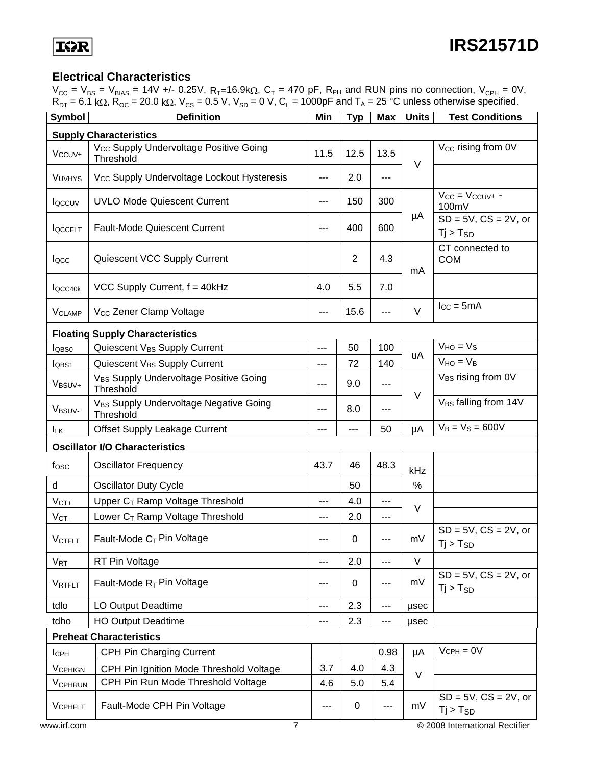#### **Electrical Characteristics**

 $V_{CC}$  =  $V_{BS}$  =  $V_{BIAS}$  = 14V +/- 0.25V,  $R_{T}$ =16.9k $\Omega$ ,  $C_{T}$  = 470 pF,  $R_{PH}$  and RUN pins no connection,  $V_{CPH}$  = 0V,  $R_{DT} = 6.1 \text{ k}\Omega$ ,  $R_{OC} = 20.0 \text{ k}\Omega$ ,  $V_{CS} = 0.5 \text{ V}$ ,  $V_{SD} = 0 \text{ V}$ ,  $C_L = 1000pF$  and  $T_A = 25 \text{ °C}$  unless otherwise specified.

| <b>Symbol</b>                  | <b>Definition</b>                                               | Min   | <b>Typ</b>     | <b>Max</b> | <b>Units</b> | <b>Test Conditions</b>                      |  |  |
|--------------------------------|-----------------------------------------------------------------|-------|----------------|------------|--------------|---------------------------------------------|--|--|
|                                | <b>Supply Characteristics</b>                                   |       |                |            |              |                                             |  |  |
| $V_{CCUV^+}$                   | V <sub>CC</sub> Supply Undervoltage Positive Going<br>Threshold | 11.5  | 12.5           | 13.5       | $\vee$       | V <sub>cc</sub> rising from 0V              |  |  |
| VUVHYS                         | V <sub>CC</sub> Supply Undervoltage Lockout Hysteresis          | $---$ | 2.0            | $---$      |              |                                             |  |  |
| <b>I</b> QCCUV                 | <b>UVLO Mode Quiescent Current</b>                              | ---   | 150            | 300        |              | $V_{CC} = V_{CCUV^+}$ -<br>100mV            |  |  |
| <b>IQCCFLT</b>                 | <b>Fault-Mode Quiescent Current</b>                             | ---   | 400            | 600        | μA           | $SD = 5V$ , $CS = 2V$ , or<br>$Tj > T_{SD}$ |  |  |
| locc                           | Quiescent VCC Supply Current                                    |       | $\overline{2}$ | 4.3        | mA           | CT connected to<br><b>COM</b>               |  |  |
| locc <sub>40k</sub>            | VCC Supply Current, $f = 40kHz$                                 | 4.0   | 5.5            | 7.0        |              |                                             |  |  |
| <b>V<sub>CLAMP</sub></b>       | V <sub>CC</sub> Zener Clamp Voltage                             | $---$ | 15.6           | ---        | $\vee$       | $I_{CC} = 5mA$                              |  |  |
|                                | <b>Floating Supply Characteristics</b>                          |       |                |            |              |                                             |  |  |
| $I_{\text{OBS0}}$              | Quiescent V <sub>BS</sub> Supply Current                        | ---   | 50             | 100        |              | $VHO = VS$                                  |  |  |
| l <sub>QBS1</sub>              | Quiescent V <sub>BS</sub> Supply Current                        | ---   | 72             | 140        | uA           | $V_{HO} = V_B$                              |  |  |
| V <sub>BSUV+</sub>             | V <sub>BS</sub> Supply Undervoltage Positive Going<br>Threshold | ---   | 9.0            | $- - -$    | $\vee$       | V <sub>BS</sub> rising from 0V              |  |  |
| V <sub>BSUV-</sub>             | V <sub>BS</sub> Supply Undervoltage Negative Going<br>Threshold | ---   | 8.0            | $---$      |              | V <sub>BS</sub> falling from 14V            |  |  |
| <b>ILK</b>                     | <b>Offset Supply Leakage Current</b>                            | ---   | $---$          | 50         | μA           | $V_B = V_S = 600V$                          |  |  |
|                                | <b>Oscillator I/O Characteristics</b>                           |       |                |            |              |                                             |  |  |
| fosc                           | <b>Oscillator Frequency</b>                                     | 43.7  | 46             | 48.3       | kHz          |                                             |  |  |
| d                              | <b>Oscillator Duty Cycle</b>                                    |       | 50             |            | $\%$         |                                             |  |  |
| $V_{CT+}$                      | Upper C <sub>T</sub> Ramp Voltage Threshold                     | ---   | 4.0            | ---        | V            |                                             |  |  |
| V <sub>CT</sub>                | Lower C <sub>T</sub> Ramp Voltage Threshold                     | ---   | 2.0            | ---        |              |                                             |  |  |
| <b>VCTFLT</b>                  | Fault-Mode $C_T$ Pin Voltage                                    | ---   | 0              | ---        | mV           | $SD = 5V$ , $CS = 2V$ , or<br>$Tj > T_{SD}$ |  |  |
| <b>V<sub>RT</sub></b>          | RT Pin Voltage                                                  | ---   | 2.0            | ---        | V            |                                             |  |  |
| VRTFLT                         | Fault-Mode $R_T$ Pin Voltage                                    | ---   | 0              | ---        | mV           | $SD = 5V$ , $CS = 2V$ , or<br>$Ti > T_{SD}$ |  |  |
| tdlo                           | LO Output Deadtime                                              | ---   | 2.3            | ---        | usec         |                                             |  |  |
| tdho                           | <b>HO Output Deadtime</b>                                       | $---$ | 2.3            | ---        | usec         |                                             |  |  |
| <b>Preheat Characteristics</b> |                                                                 |       |                |            |              |                                             |  |  |
| $I_{\rm CPH}$                  | CPH Pin Charging Current                                        |       |                | 0.98       | μA           | $V$ CPH = $0V$                              |  |  |
| <b>VCPHIGN</b>                 | CPH Pin Ignition Mode Threshold Voltage                         | 3.7   | 4.0            | 4.3        |              |                                             |  |  |
| V <sub>CPHRUN</sub>            | CPH Pin Run Mode Threshold Voltage                              | 4.6   | 5.0            | 5.4        | $\vee$       |                                             |  |  |
| VCPHFLT                        | Fault-Mode CPH Pin Voltage                                      | ---   | 0              | ---        | mV           | $SD = 5V$ , $CS = 2V$ , or<br>$Tj > T_{SD}$ |  |  |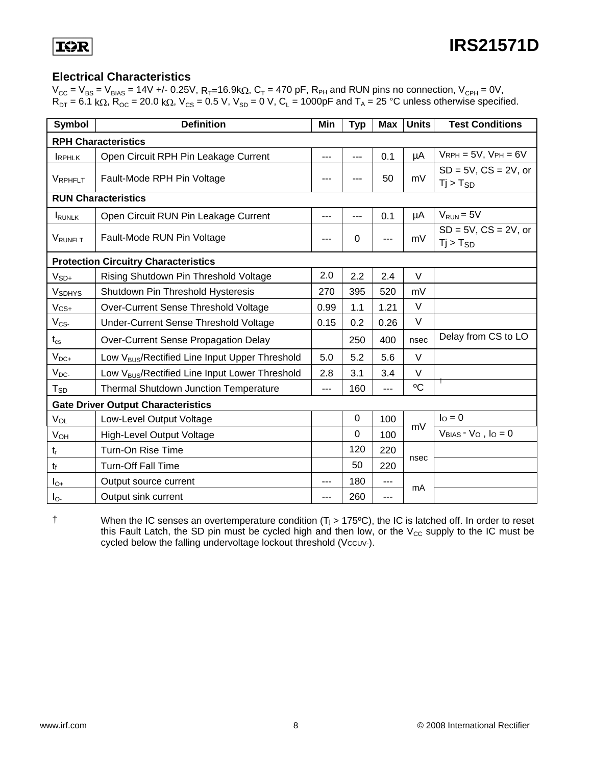#### **Electrical Characteristics**

 $V_{CC}$  =  $V_{BS}$  =  $V_{BIAS}$  = 14V +/- 0.25V, R<sub>T</sub>=16.9k $\Omega$ , C<sub>T</sub> = 470 pF, R<sub>PH</sub> and RUN pins no connection, V<sub>CPH</sub> = 0V,  $R_{DT} = 6.1 \text{ k}\Omega$ ,  $R_{OC} = 20.0 \text{ k}\Omega$ ,  $V_{CS} = 0.5 \text{ V}$ ,  $V_{SD} = 0 \text{ V}$ ,  $C_L = 1000pF$  and  $T_A = 25 \text{ °C}$  unless otherwise specified.

| <b>Symbol</b>         | <b>Definition</b>                                          |      | <b>Typ</b>  | <b>Max</b> | <b>Units</b> | <b>Test Conditions</b>                      |  |
|-----------------------|------------------------------------------------------------|------|-------------|------------|--------------|---------------------------------------------|--|
|                       | <b>RPH Characteristics</b>                                 |      |             |            |              |                                             |  |
| <b>IRPHLK</b>         | Open Circuit RPH Pin Leakage Current                       | ---  | $---$       | 0.1        | μA           | $V$ RPH = 5V, $V$ PH = 6V                   |  |
| VRPHFLT               | Fault-Mode RPH Pin Voltage                                 |      |             | 50         | mV           | $SD = 5V$ , $CS = 2V$ , or<br>$Ti > T_{SD}$ |  |
|                       | <b>RUN Characteristics</b>                                 |      |             |            |              |                                             |  |
| <b>IRUNLK</b>         | Open Circuit RUN Pin Leakage Current                       | ---  | ---         | 0.1        | μA           | $V_{RUN} = 5V$                              |  |
| VRUNFLT               | Fault-Mode RUN Pin Voltage                                 |      | 0           | ---        | mV           | $SD = 5V$ , $CS = 2V$ , or<br>$Tj > T_{SD}$ |  |
|                       | <b>Protection Circuitry Characteristics</b>                |      |             |            |              |                                             |  |
| $V_{SD+}$             | Rising Shutdown Pin Threshold Voltage                      | 2.0  | 2.2         | 2.4        | $\vee$       |                                             |  |
| <b>VSDHYS</b>         | Shutdown Pin Threshold Hysteresis                          | 270  | 395         | 520        | mV           |                                             |  |
| $V_{CS+}$             | Over-Current Sense Threshold Voltage                       | 0.99 | 1.1         | 1.21       | $\vee$       |                                             |  |
| $V_{CS}$              | Under-Current Sense Threshold Voltage                      | 0.15 | 0.2         | 0.26       | $\vee$       |                                             |  |
| $t_{\rm cs}$          | Over-Current Sense Propagation Delay                       |      | 250         | 400        | nsec         | Delay from CS to LO                         |  |
| $V_{DC+}$             | Low V <sub>BUS</sub> /Rectified Line Input Upper Threshold | 5.0  | 5.2         | 5.6        | $\vee$       |                                             |  |
| $V_{DC}$              | Low V <sub>BUS</sub> /Rectified Line Input Lower Threshold | 2.8  | 3.1         | 3.4        | $\vee$       |                                             |  |
| $T_{SD}$              | <b>Thermal Shutdown Junction Temperature</b>               | ---  | 160         | $---$      | °C           |                                             |  |
|                       | <b>Gate Driver Output Characteristics</b>                  |      |             |            |              |                                             |  |
| VOL                   | Low-Level Output Voltage                                   |      | $\mathbf 0$ | 100        | mV           | $IO = 0$                                    |  |
| <b>V<sub>OH</sub></b> | <b>High-Level Output Voltage</b>                           |      | $\Omega$    | 100        |              | $V_{BIAS} - V_{O}$ , $I_{O} = 0$            |  |
| tr                    | 120<br>Turn-On Rise Time<br>220                            |      |             |            |              |                                             |  |
| t                     | Turn-Off Fall Time                                         |      | 50          | 220        | nsec         |                                             |  |
| $I_{O+}$              | Output source current                                      | ---  | 180         | ---        | mA           |                                             |  |
| $I_{\odot}$           | Output sink current                                        | ---  | 260         | ---        |              |                                             |  |

† When the IC senses an overtemperature condition (Tj > 175ºC), the IC is latched off. In order to reset this Fault Latch, the SD pin must be cycled high and then low, or the  $V_{CC}$  supply to the IC must be cycled below the falling undervoltage lockout threshold (Vccuv-).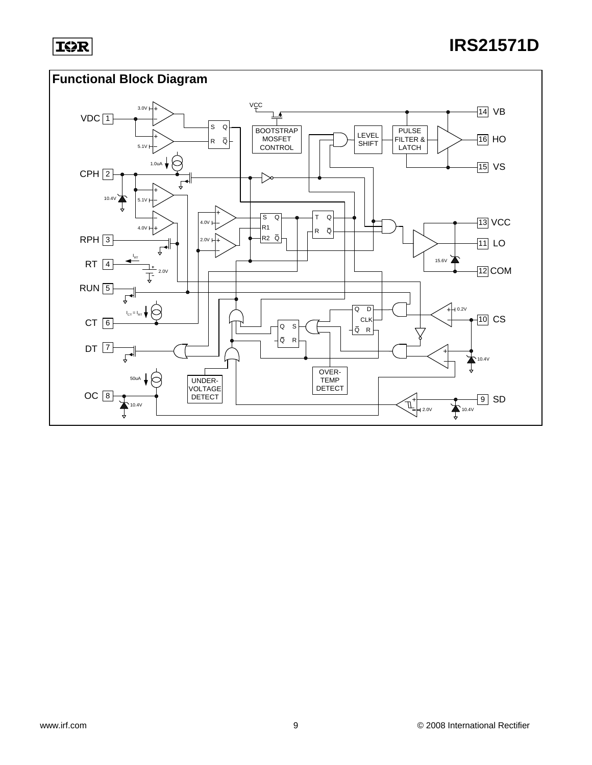#### **Functional Block Diagram**

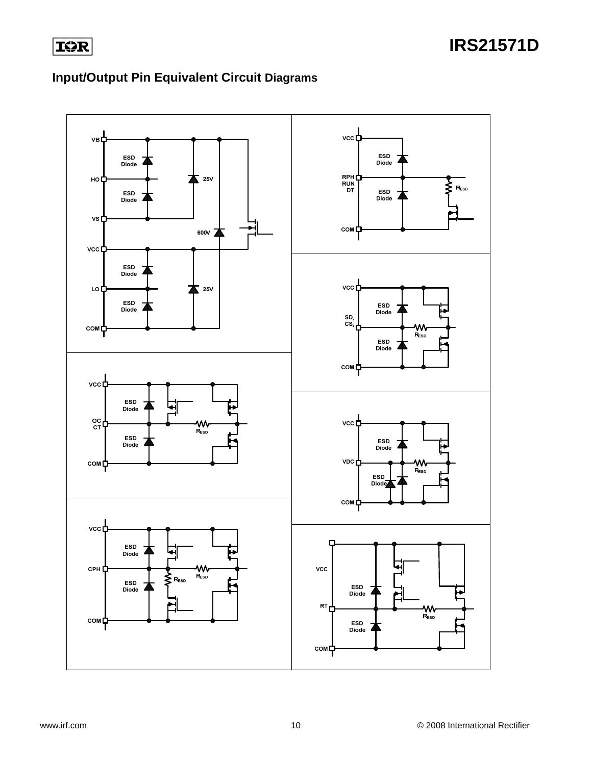

### **Input/Output Pin Equivalent Circuit Diagrams**

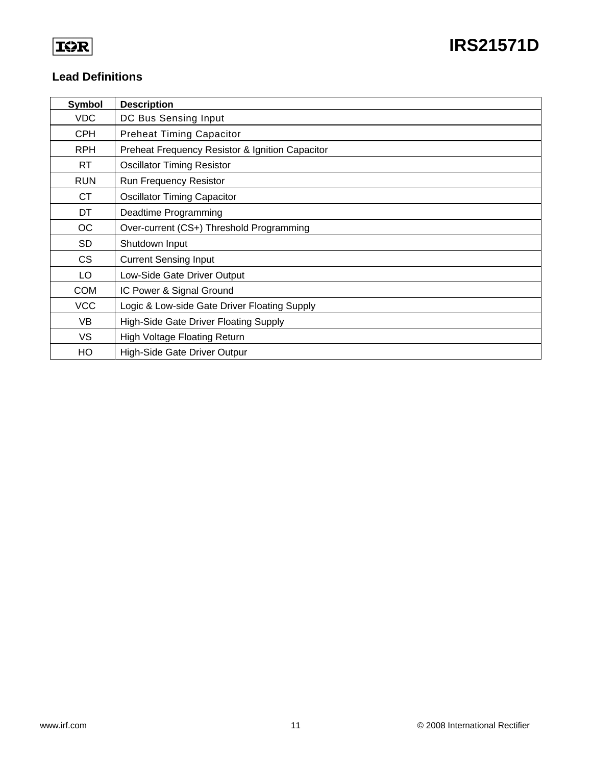#### **Lead Definitions**

| Symbol     | <b>Description</b>                              |
|------------|-------------------------------------------------|
| VDC        | DC Bus Sensing Input                            |
| <b>CPH</b> | <b>Preheat Timing Capacitor</b>                 |
| <b>RPH</b> | Preheat Frequency Resistor & Ignition Capacitor |
| RT.        | <b>Oscillator Timing Resistor</b>               |
| <b>RUN</b> | Run Frequency Resistor                          |
| CT         | <b>Oscillator Timing Capacitor</b>              |
| DT         | Deadtime Programming                            |
| <b>OC</b>  | Over-current (CS+) Threshold Programming        |
| <b>SD</b>  | Shutdown Input                                  |
| <b>CS</b>  | <b>Current Sensing Input</b>                    |
| LO         | Low-Side Gate Driver Output                     |
| <b>COM</b> | IC Power & Signal Ground                        |
| <b>VCC</b> | Logic & Low-side Gate Driver Floating Supply    |
| <b>VB</b>  | High-Side Gate Driver Floating Supply           |
| VS         | <b>High Voltage Floating Return</b>             |
| HO         | High-Side Gate Driver Outpur                    |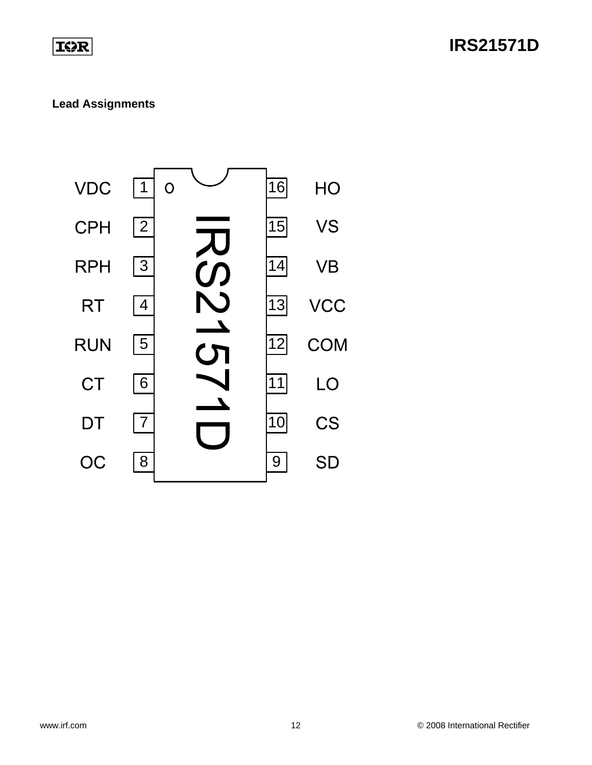### **IOR**

### **IRS21571D**

#### **Lead Assignments**

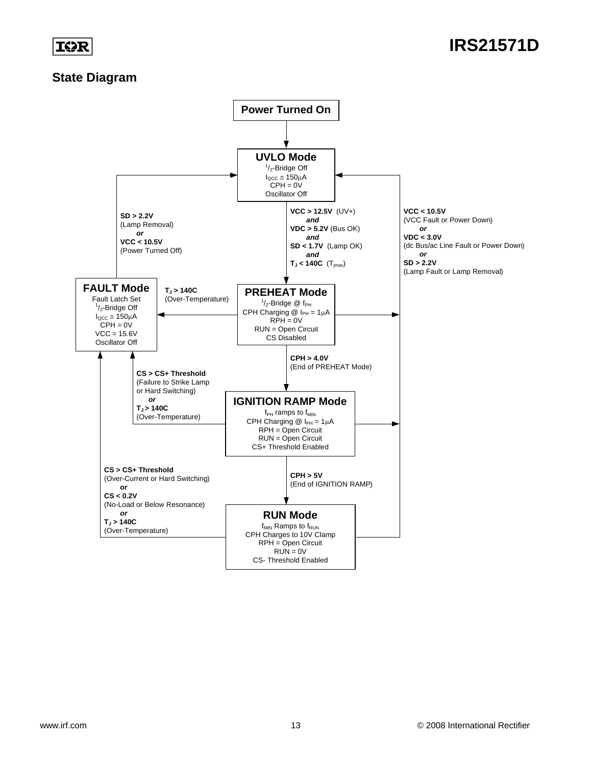#### **State Diagram**

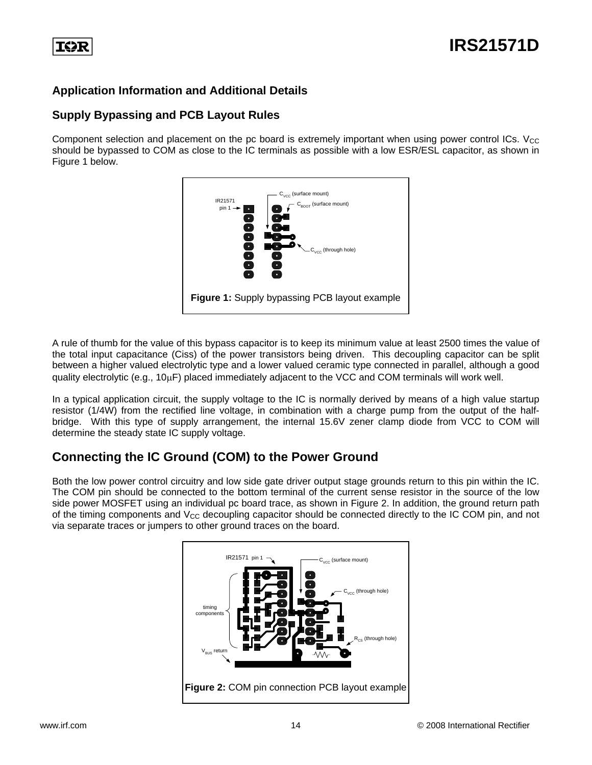

#### **Application Information and Additional Details**

#### **Supply Bypassing and PCB Layout Rules**

Component selection and placement on the pc board is extremely important when using power control ICs.  $V_{CC}$ should be bypassed to COM as close to the IC terminals as possible with a low ESR/ESL capacitor, as shown in Figure 1 below.



A rule of thumb for the value of this bypass capacitor is to keep its minimum value at least 2500 times the value of the total input capacitance (Ciss) of the power transistors being driven. This decoupling capacitor can be split between a higher valued electrolytic type and a lower valued ceramic type connected in parallel, although a good quality electrolytic (e.g., 10μF) placed immediately adjacent to the VCC and COM terminals will work well.

In a typical application circuit, the supply voltage to the IC is normally derived by means of a high value startup resistor (1/4W) from the rectified line voltage, in combination with a charge pump from the output of the halfbridge. With this type of supply arrangement, the internal 15.6V zener clamp diode from VCC to COM will determine the steady state IC supply voltage.

#### **Connecting the IC Ground (COM) to the Power Ground**

Both the low power control circuitry and low side gate driver output stage grounds return to this pin within the IC. The COM pin should be connected to the bottom terminal of the current sense resistor in the source of the low side power MOSFET using an individual pc board trace, as shown in Figure 2. In addition, the ground return path of the timing components and V<sub>CC</sub> decoupling capacitor should be connected directly to the IC COM pin, and not via separate traces or jumpers to other ground traces on the board.

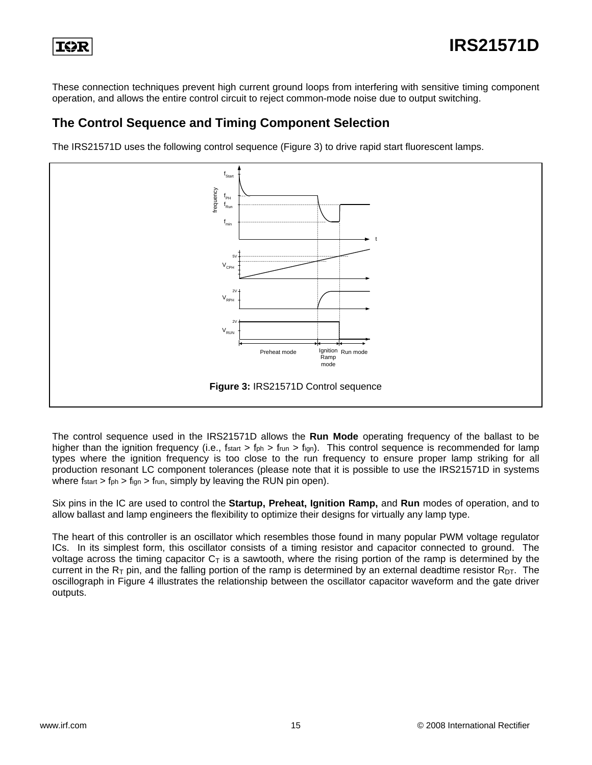

These connection techniques prevent high current ground loops from interfering with sensitive timing component operation, and allows the entire control circuit to reject common-mode noise due to output switching.

#### **The Control Sequence and Timing Component Selection**

The IRS21571D uses the following control sequence (Figure 3) to drive rapid start fluorescent lamps.



The control sequence used in the IRS21571D allows the **Run Mode** operating frequency of the ballast to be higher than the ignition frequency (i.e.,  $f_{start} > f_{ph} > f_{run} > f_{ign}$ ). This control sequence is recommended for lamp types where the ignition frequency is too close to the run frequency to ensure proper lamp striking for all production resonant LC component tolerances (please note that it is possible to use the IRS21571D in systems where fstart  $>$  fph  $>$  fign  $>$  frun, simply by leaving the RUN pin open).

Six pins in the IC are used to control the **Startup, Preheat, Ignition Ramp,** and **Run** modes of operation, and to allow ballast and lamp engineers the flexibility to optimize their designs for virtually any lamp type.

The heart of this controller is an oscillator which resembles those found in many popular PWM voltage regulator ICs. In its simplest form, this oscillator consists of a timing resistor and capacitor connected to ground. The voltage across the timing capacitor  $C_T$  is a sawtooth, where the rising portion of the ramp is determined by the current in the  $R_T$  pin, and the falling portion of the ramp is determined by an external deadtime resistor  $R_{DT}$ . The oscillograph in Figure 4 illustrates the relationship between the oscillator capacitor waveform and the gate driver outputs.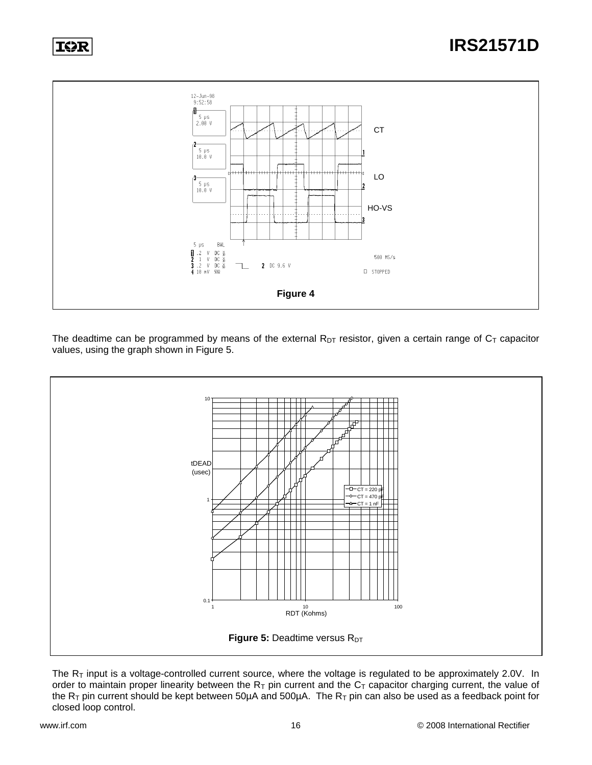



The deadtime can be programmed by means of the external  $R_{DT}$  resistor, given a certain range of  $C_T$  capacitor values, using the graph shown in Figure 5.



The  $R<sub>T</sub>$  input is a voltage-controlled current source, where the voltage is regulated to be approximately 2.0V. In order to maintain proper linearity between the  $R_T$  pin current and the  $C_T$  capacitor charging current, the value of the  $R_T$  pin current should be kept between 50µA and 500µA. The  $R_T$  pin can also be used as a feedback point for closed loop control.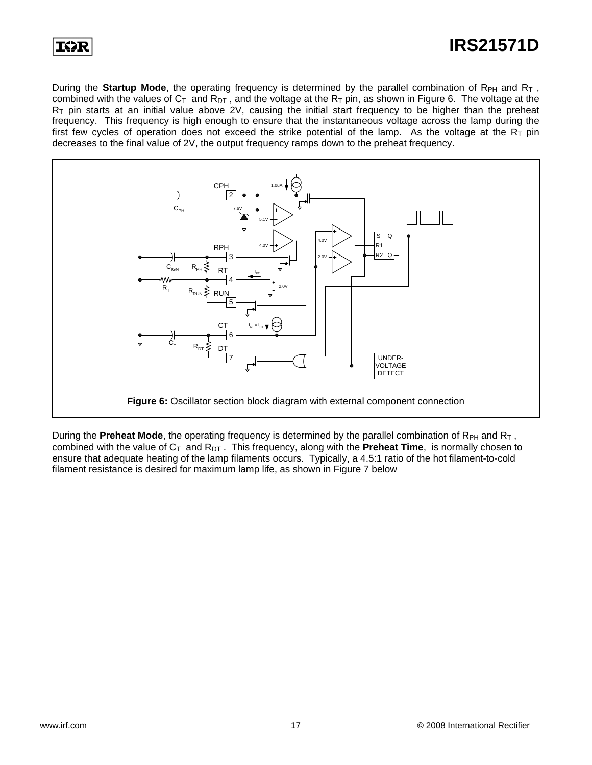

### **IRS21571D**

During the **Startup Mode**, the operating frequency is determined by the parallel combination of R<sub>PH</sub> and R<sub>T</sub>, combined with the values of  $C_T$  and  $R_{DT}$ , and the voltage at the  $R_T$  pin, as shown in Figure 6. The voltage at the  $R<sub>T</sub>$  pin starts at an initial value above 2V, causing the initial start frequency to be higher than the preheat frequency. This frequency is high enough to ensure that the instantaneous voltage across the lamp during the first few cycles of operation does not exceed the strike potential of the lamp. As the voltage at the  $R_T$  pin decreases to the final value of 2V, the output frequency ramps down to the preheat frequency.



During the **Preheat Mode**, the operating frequency is determined by the parallel combination of R<sub>PH</sub> and R<sub>T</sub>, combined with the value of C<sub>T</sub> and R<sub>DT</sub>. This frequency, along with the **Preheat Time**, is normally chosen to ensure that adequate heating of the lamp filaments occurs. Typically, a 4.5:1 ratio of the hot filament-to-cold filament resistance is desired for maximum lamp life, as shown in Figure 7 below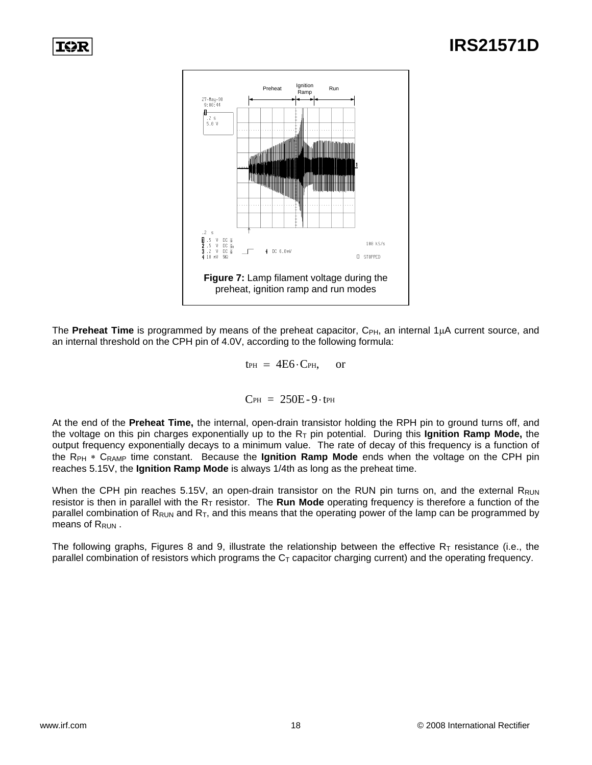

The **Preheat Time** is programmed by means of the preheat capacitor, C<sub>PH</sub>, an internal 1μA current source, and an internal threshold on the CPH pin of 4.0V, according to the following formula:

 $t_{PH} = 4E6 \cdot C_{PH}$ , or

$$
C_{PH} = 250E - 9 \cdot t_{PH}
$$

At the end of the **Preheat Time,** the internal, open-drain transistor holding the RPH pin to ground turns off, and the voltage on this pin charges exponentially up to the RT pin potential. During this **Ignition Ramp Mode,** the output frequency exponentially decays to a minimum value. The rate of decay of this frequency is a function of the R<sub>PH</sub> ∗ C<sub>RAMP</sub> time constant. Because the **Ignition Ramp Mode** ends when the voltage on the CPH pin reaches 5.15V, the **Ignition Ramp Mode** is always 1/4th as long as the preheat time.

When the CPH pin reaches 5.15V, an open-drain transistor on the RUN pin turns on, and the external  $R_{\text{RUN}}$ resistor is then in parallel with the R<sub>T</sub> resistor. The **Run Mode** operating frequency is therefore a function of the parallel combination of  $R_{RUN}$  and  $R_T$ , and this means that the operating power of the lamp can be programmed by means of R<sub>RUN</sub>.

The following graphs, Figures 8 and 9, illustrate the relationship between the effective  $R<sub>T</sub>$  resistance (i.e., the parallel combination of resistors which programs the  $C<sub>T</sub>$  capacitor charging current) and the operating frequency.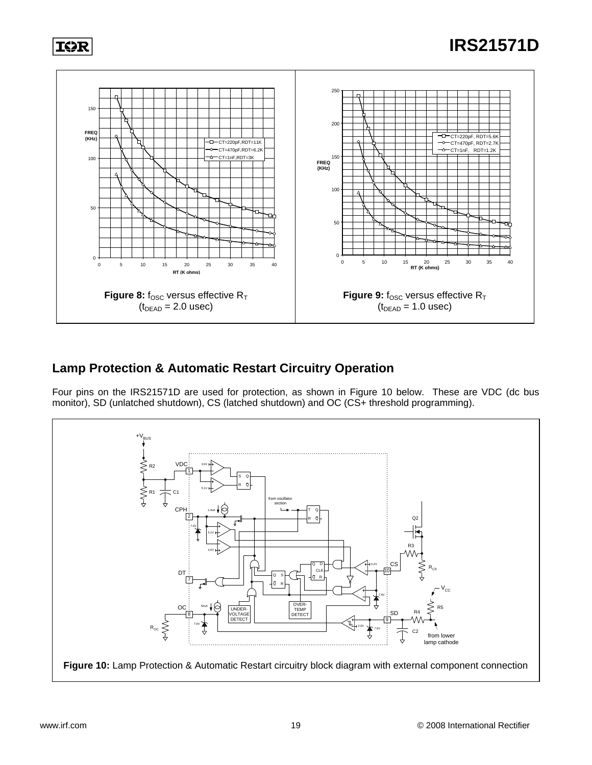

#### **Lamp Protection & Automatic Restart Circuitry Operation**

Four pins on the IRS21571D are used for protection, as shown in Figure 10 below. These are VDC (dc bus monitor), SD (unlatched shutdown), CS (latched shutdown) and OC (CS+ threshold programming).

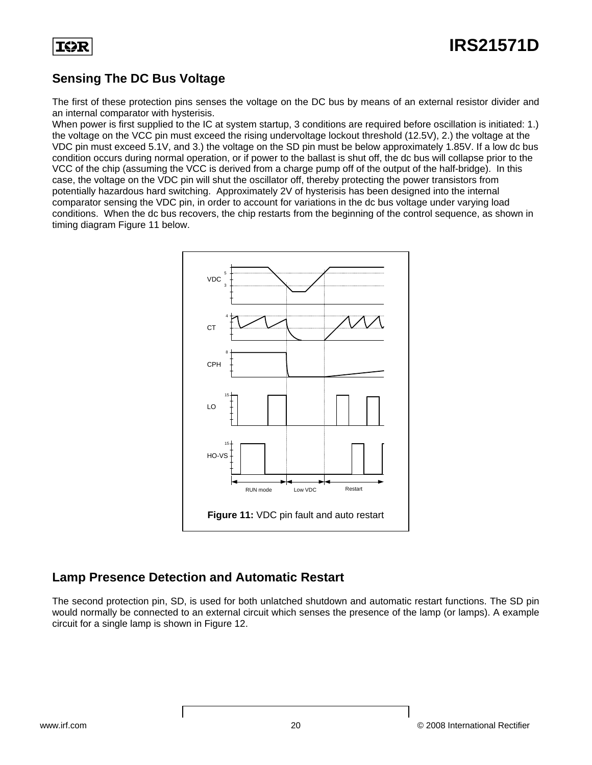

#### **Sensing The DC Bus Voltage**

The first of these protection pins senses the voltage on the DC bus by means of an external resistor divider and an internal comparator with hysterisis.

When power is first supplied to the IC at system startup, 3 conditions are required before oscillation is initiated: 1.) the voltage on the VCC pin must exceed the rising undervoltage lockout threshold (12.5V), 2.) the voltage at the VDC pin must exceed 5.1V, and 3.) the voltage on the SD pin must be below approximately 1.85V. If a low dc bus condition occurs during normal operation, or if power to the ballast is shut off, the dc bus will collapse prior to the VCC of the chip (assuming the VCC is derived from a charge pump off of the output of the half-bridge). In this case, the voltage on the VDC pin will shut the oscillator off, thereby protecting the power transistors from potentially hazardous hard switching. Approximately 2V of hysterisis has been designed into the internal comparator sensing the VDC pin, in order to account for variations in the dc bus voltage under varying load conditions. When the dc bus recovers, the chip restarts from the beginning of the control sequence, as shown in timing diagram Figure 11 below.



#### **Lamp Presence Detection and Automatic Restart**

The second protection pin, SD, is used for both unlatched shutdown and automatic restart functions. The SD pin would normally be connected to an external circuit which senses the presence of the lamp (or lamps). A example circuit for a single lamp is shown in Figure 12.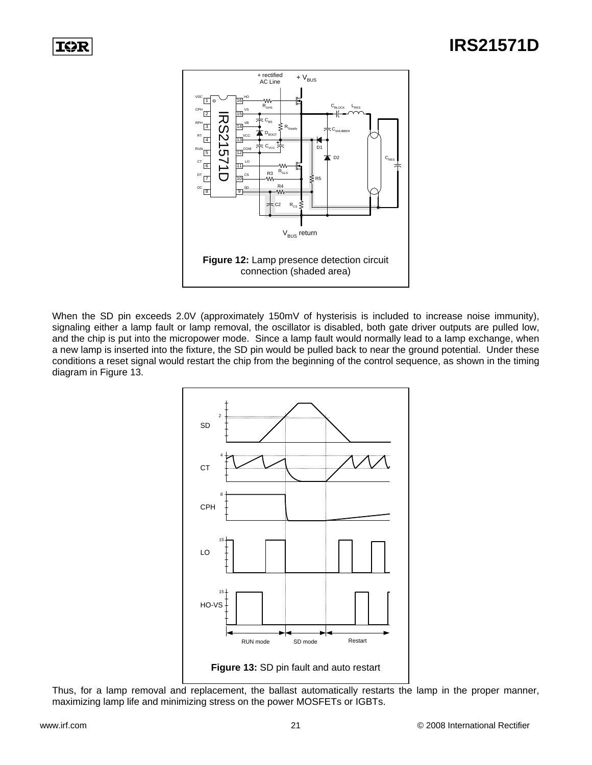

When the SD pin exceeds 2.0V (approximately 150mV of hysterisis is included to increase noise immunity), signaling either a lamp fault or lamp removal, the oscillator is disabled, both gate driver outputs are pulled low, and the chip is put into the micropower mode. Since a lamp fault would normally lead to a lamp exchange, when a new lamp is inserted into the fixture, the SD pin would be pulled back to near the ground potential. Under these conditions a reset signal would restart the chip from the beginning of the control sequence, as shown in the timing diagram in Figure 13.



Thus, for a lamp removal and replacement, the ballast automatically restarts the lamp in the proper manner, maximizing lamp life and minimizing stress on the power MOSFETs or IGBTs.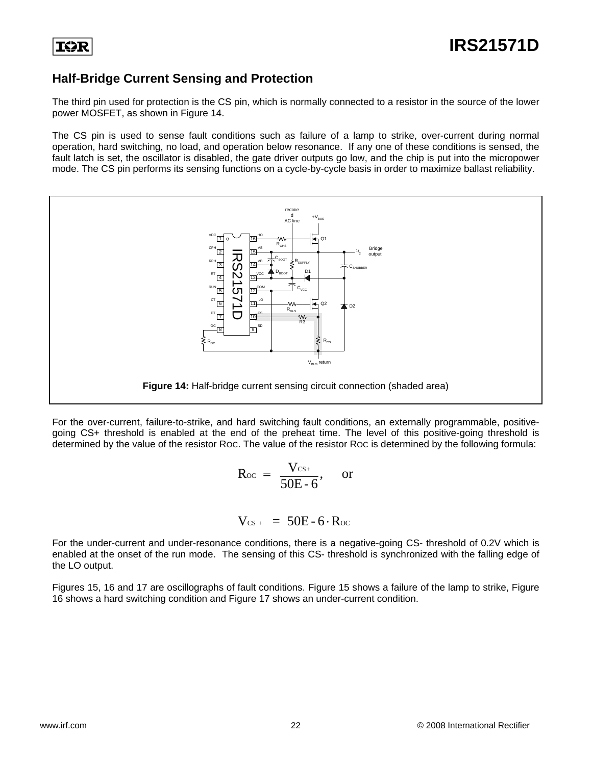#### **Half-Bridge Current Sensing and Protection**

The third pin used for protection is the CS pin, which is normally connected to a resistor in the source of the lower power MOSFET, as shown in Figure 14.

The CS pin is used to sense fault conditions such as failure of a lamp to strike, over-current during normal operation, hard switching, no load, and operation below resonance. If any one of these conditions is sensed, the fault latch is set, the oscillator is disabled, the gate driver outputs go low, and the chip is put into the micropower mode. The CS pin performs its sensing functions on a cycle-by-cycle basis in order to maximize ballast reliability.



For the over-current, failure-to-strike, and hard switching fault conditions, an externally programmable, positivegoing CS+ threshold is enabled at the end of the preheat time. The level of this positive-going threshold is determined by the value of the resistor ROC. The value of the resistor ROC is determined by the following formula:

$$
R_{\text{oc}} = \frac{V_{\text{cs+}}}{50E - 6}, \quad \text{or}
$$

$$
V_{cs+}~=~50E\text{-}6\cdot R_{oc}
$$

For the under-current and under-resonance conditions, there is a negative-going CS- threshold of 0.2V which is enabled at the onset of the run mode. The sensing of this CS- threshold is synchronized with the falling edge of the LO output.

Figures 15, 16 and 17 are oscillographs of fault conditions. Figure 15 shows a failure of the lamp to strike, Figure 16 shows a hard switching condition and Figure 17 shows an under-current condition.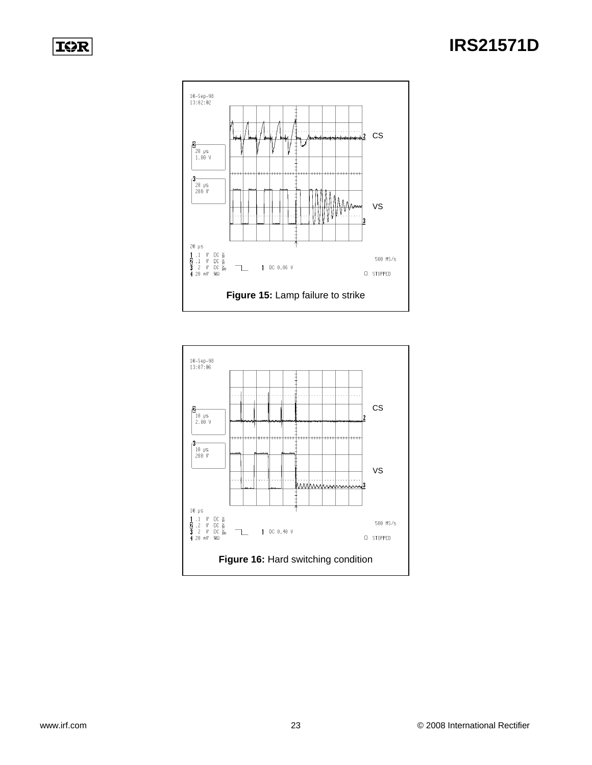

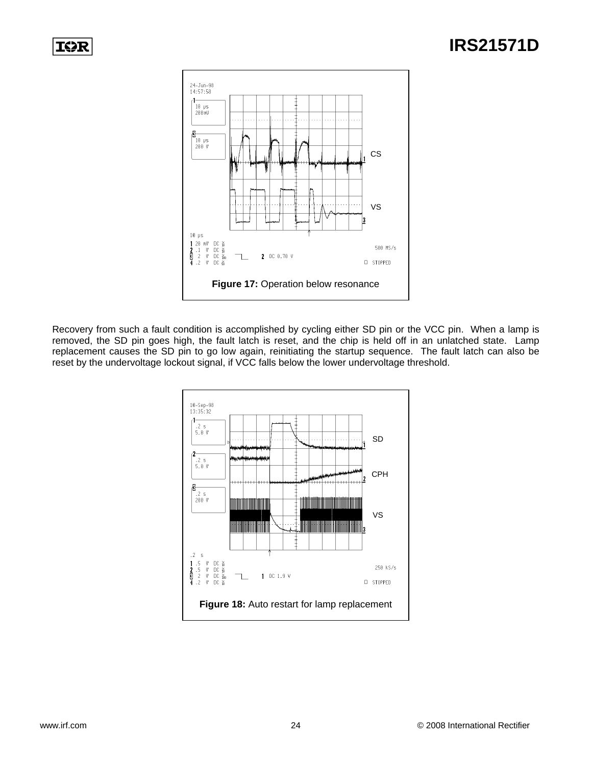

Recovery from such a fault condition is accomplished by cycling either SD pin or the VCC pin. When a lamp is removed, the SD pin goes high, the fault latch is reset, and the chip is held off in an unlatched state. Lamp replacement causes the SD pin to go low again, reinitiating the startup sequence. The fault latch can also be reset by the undervoltage lockout signal, if VCC falls below the lower undervoltage threshold.

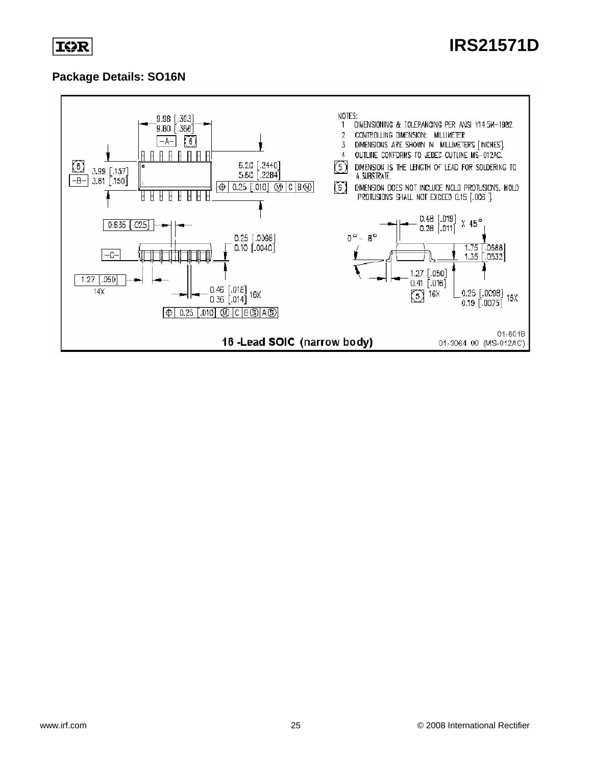

#### **Package Details: SO16N**

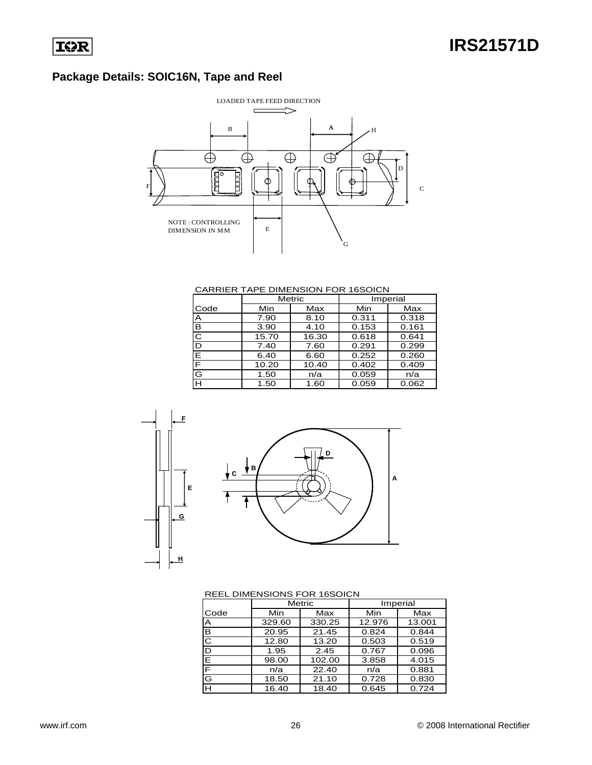### **Package Details: SOIC16N, Tape and Reel**



#### CARRIER TAPE DIMENSION FOR 16SOICN

|      | Metric |       | Imperial |       |  |
|------|--------|-------|----------|-------|--|
| Code | Min    | Max   | Min      | Max   |  |
| A    | 7.90   | 8.10  | 0.311    | 0.318 |  |
| в    | 3.90   | 4.10  | 0.153    | 0.161 |  |
| C    | 15.70  | 16.30 | 0.618    | 0.641 |  |
| D    | 7.40   | 7.60  | 0.291    | 0.299 |  |
| E    | 6.40   | 6.60  | 0.252    | 0.260 |  |
| F    | 10.20  | 10.40 | 0.402    | 0.409 |  |
| G    | 1.50   | n/a   | 0.059    | n/a   |  |
| H    | 1.50   | 1.60  | 0.059    | 0.062 |  |





#### REEL DIMENSIONS FOR 16SOICN

|      |        | Metric |        | Imperial |
|------|--------|--------|--------|----------|
| Code | Min    | Max    | Min    | Max      |
| A    | 329.60 | 330.25 | 12.976 | 13.001   |
| B    | 20.95  | 21.45  | 0.824  | 0.844    |
| C    | 12.80  | 13.20  | 0.503  | 0.519    |
| D    | 1.95   | 2.45   | 0.767  | 0.096    |
| Е    | 98.00  | 102.00 | 3.858  | 4.015    |
| F    | n/a    | 22.40  | n/a    | 0.881    |
| G    | 18.50  | 21.10  | 0.728  | 0.830    |
| н    | 16.40  | 18.40  | 0.645  | 0.724    |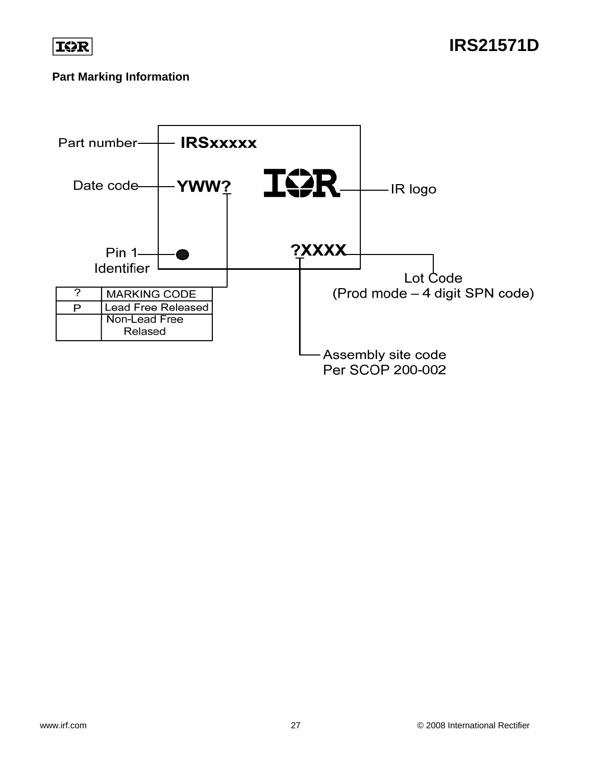

**IRS21571D**

#### **Part Marking Information**